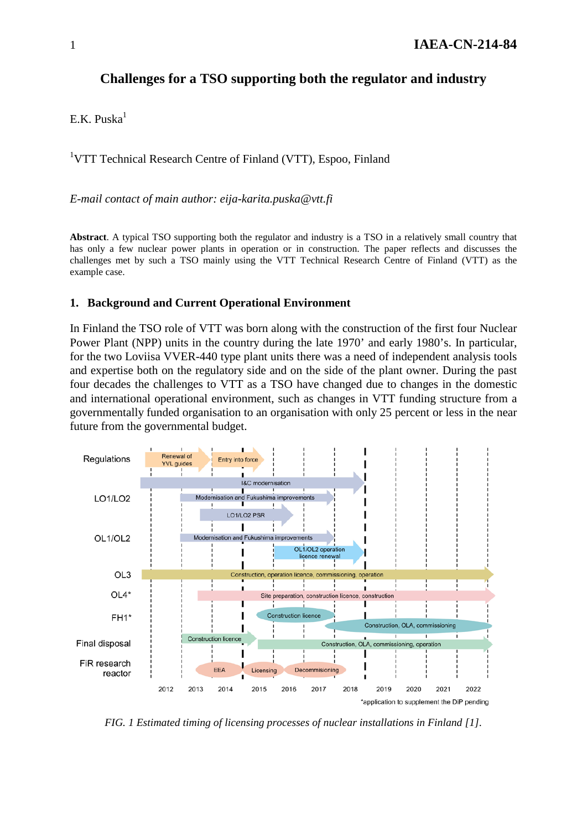# **Challenges for a TSO supporting both the regulator and industry**

E.K.  $Puska<sup>1</sup>$ 

<sup>1</sup>VTT Technical Research Centre of Finland (VTT), Espoo, Finland

*E-mail contact of main author: eija-karita.puska@vtt.fi*

**Abstract**. A typical TSO supporting both the regulator and industry is a TSO in a relatively small country that has only a few nuclear power plants in operation or in construction. The paper reflects and discusses the challenges met by such a TSO mainly using the VTT Technical Research Centre of Finland (VTT) as the example case.

#### **1. Background and Current Operational Environment**

In Finland the TSO role of VTT was born along with the construction of the first four Nuclear Power Plant (NPP) units in the country during the late 1970' and early 1980's. In particular, for the two Loviisa VVER-440 type plant units there was a need of independent analysis tools and expertise both on the regulatory side and on the side of the plant owner. During the past four decades the challenges to VTT as a TSO have changed due to changes in the domestic and international operational environment, such as changes in VTT funding structure from a governmentally funded organisation to an organisation with only 25 percent or less in the near future from the governmental budget.



*FIG. 1 Estimated timing of licensing processes of nuclear installations in Finland [1].*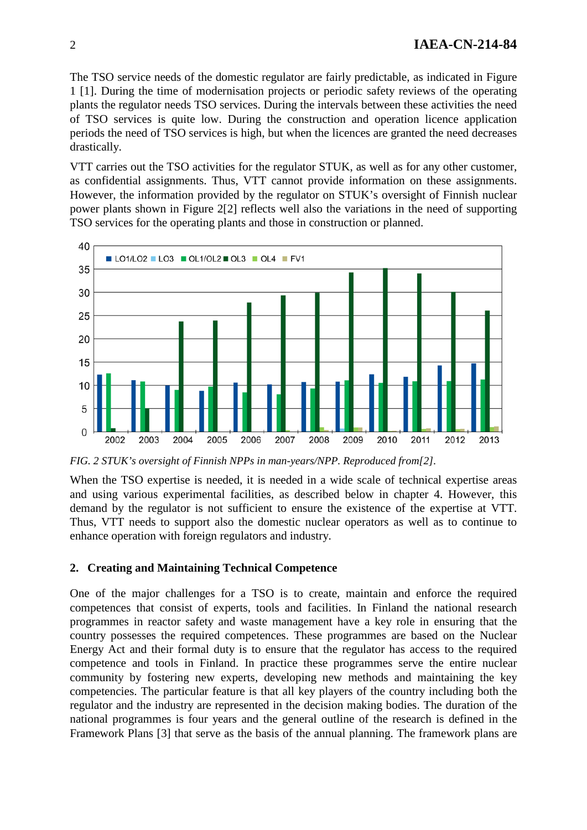The TSO service needs of the domestic regulator are fairly predictable, as indicated in Figure 1 [1]. During the time of modernisation projects or periodic safety reviews of the operating plants the regulator needs TSO services. During the intervals between these activities the need of TSO services is quite low. During the construction and operation licence application periods the need of TSO services is high, but when the licences are granted the need decreases drastically.

VTT carries out the TSO activities for the regulator STUK, as well as for any other customer, as confidential assignments. Thus, VTT cannot provide information on these assignments. However, the information provided by the regulator on STUK's oversight of Finnish nuclear power plants shown in Figure 2[2] reflects well also the variations in the need of supporting TSO services for the operating plants and those in construction or planned.



*FIG. 2 STUK's oversight of Finnish NPPs in man-years/NPP. Reproduced from[2].*

When the TSO expertise is needed, it is needed in a wide scale of technical expertise areas and using various experimental facilities, as described below in chapter 4. However, this demand by the regulator is not sufficient to ensure the existence of the expertise at VTT. Thus, VTT needs to support also the domestic nuclear operators as well as to continue to enhance operation with foreign regulators and industry.

#### **2. Creating and Maintaining Technical Competence**

One of the major challenges for a TSO is to create, maintain and enforce the required competences that consist of experts, tools and facilities. In Finland the national research programmes in reactor safety and waste management have a key role in ensuring that the country possesses the required competences. These programmes are based on the Nuclear Energy Act and their formal duty is to ensure that the regulator has access to the required competence and tools in Finland. In practice these programmes serve the entire nuclear community by fostering new experts, developing new methods and maintaining the key competencies. The particular feature is that all key players of the country including both the regulator and the industry are represented in the decision making bodies. The duration of the national programmes is four years and the general outline of the research is defined in the Framework Plans [3] that serve as the basis of the annual planning. The framework plans are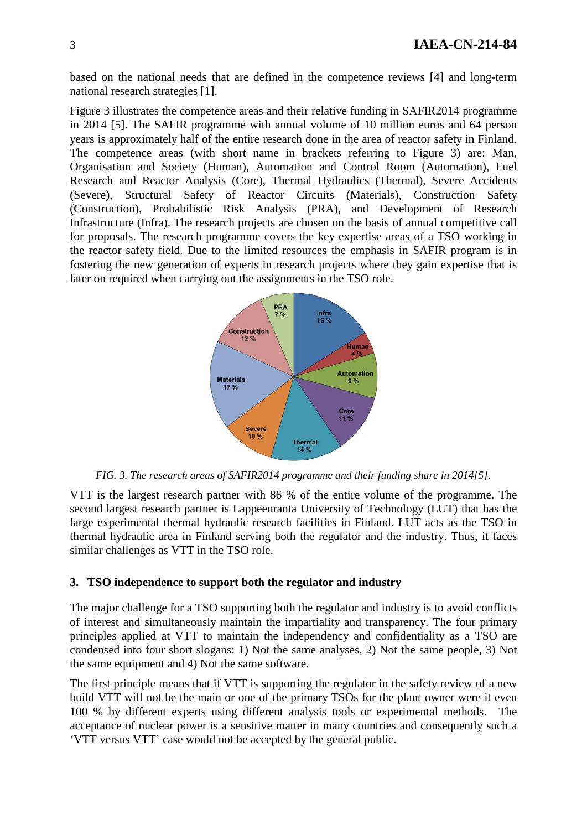based on the national needs that are defined in the competence reviews [4] and long-term national research strategies [1].

Figure 3 illustrates the competence areas and their relative funding in SAFIR2014 programme in 2014 [5]. The SAFIR programme with annual volume of 10 million euros and 64 person years is approximately half of the entire research done in the area of reactor safety in Finland. The competence areas (with short name in brackets referring to Figure 3) are: Man, Organisation and Society (Human), Automation and Control Room (Automation), Fuel Research and Reactor Analysis (Core), Thermal Hydraulics (Thermal), Severe Accidents (Severe), Structural Safety of Reactor Circuits (Materials), Construction Safety (Construction), Probabilistic Risk Analysis (PRA), and Development of Research Infrastructure (Infra). The research projects are chosen on the basis of annual competitive call for proposals. The research programme covers the key expertise areas of a TSO working in the reactor safety field. Due to the limited resources the emphasis in SAFIR program is in fostering the new generation of experts in research projects where they gain expertise that is later on required when carrying out the assignments in the TSO role.



*FIG. 3. The research areas of SAFIR2014 programme and their funding share in 2014[5].*

VTT is the largest research partner with 86 % of the entire volume of the programme. The second largest research partner is Lappeenranta University of Technology (LUT) that has the large experimental thermal hydraulic research facilities in Finland. LUT acts as the TSO in thermal hydraulic area in Finland serving both the regulator and the industry. Thus, it faces similar challenges as VTT in the TSO role.

#### **3. TSO independence to support both the regulator and industry**

The major challenge for a TSO supporting both the regulator and industry is to avoid conflicts of interest and simultaneously maintain the impartiality and transparency. The four primary principles applied at VTT to maintain the independency and confidentiality as a TSO are condensed into four short slogans: 1) Not the same analyses, 2) Not the same people, 3) Not the same equipment and 4) Not the same software.

The first principle means that if VTT is supporting the regulator in the safety review of a new build VTT will not be the main or one of the primary TSOs for the plant owner were it even 100 % by different experts using different analysis tools or experimental methods. The acceptance of nuclear power is a sensitive matter in many countries and consequently such a 'VTT versus VTT' case would not be accepted by the general public.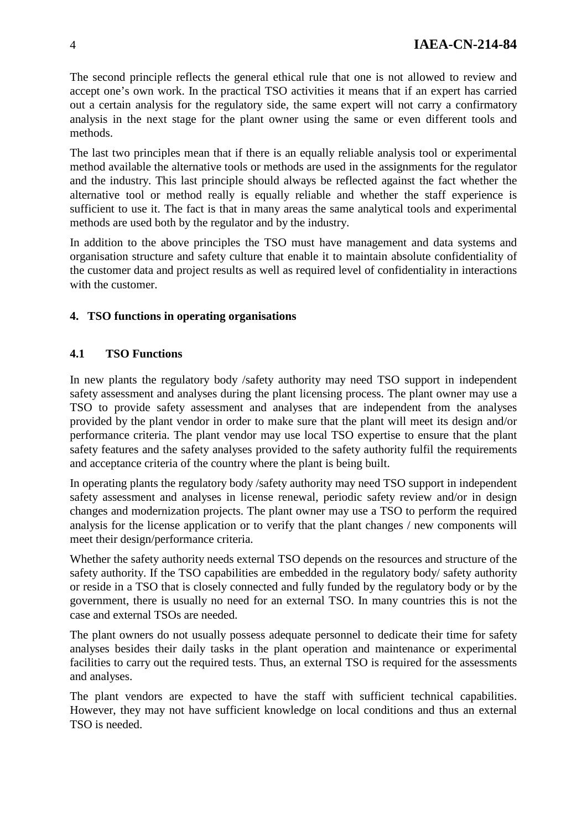The second principle reflects the general ethical rule that one is not allowed to review and accept one's own work. In the practical TSO activities it means that if an expert has carried out a certain analysis for the regulatory side, the same expert will not carry a confirmatory analysis in the next stage for the plant owner using the same or even different tools and methods.

The last two principles mean that if there is an equally reliable analysis tool or experimental method available the alternative tools or methods are used in the assignments for the regulator and the industry. This last principle should always be reflected against the fact whether the alternative tool or method really is equally reliable and whether the staff experience is sufficient to use it. The fact is that in many areas the same analytical tools and experimental methods are used both by the regulator and by the industry.

In addition to the above principles the TSO must have management and data systems and organisation structure and safety culture that enable it to maintain absolute confidentiality of the customer data and project results as well as required level of confidentiality in interactions with the customer.

# **4. TSO functions in operating organisations**

# **4.1 TSO Functions**

In new plants the regulatory body /safety authority may need TSO support in independent safety assessment and analyses during the plant licensing process. The plant owner may use a TSO to provide safety assessment and analyses that are independent from the analyses provided by the plant vendor in order to make sure that the plant will meet its design and/or performance criteria. The plant vendor may use local TSO expertise to ensure that the plant safety features and the safety analyses provided to the safety authority fulfil the requirements and acceptance criteria of the country where the plant is being built.

In operating plants the regulatory body /safety authority may need TSO support in independent safety assessment and analyses in license renewal, periodic safety review and/or in design changes and modernization projects. The plant owner may use a TSO to perform the required analysis for the license application or to verify that the plant changes / new components will meet their design/performance criteria.

Whether the safety authority needs external TSO depends on the resources and structure of the safety authority. If the TSO capabilities are embedded in the regulatory body/ safety authority or reside in a TSO that is closely connected and fully funded by the regulatory body or by the government, there is usually no need for an external TSO. In many countries this is not the case and external TSOs are needed.

The plant owners do not usually possess adequate personnel to dedicate their time for safety analyses besides their daily tasks in the plant operation and maintenance or experimental facilities to carry out the required tests. Thus, an external TSO is required for the assessments and analyses.

The plant vendors are expected to have the staff with sufficient technical capabilities. However, they may not have sufficient knowledge on local conditions and thus an external TSO is needed.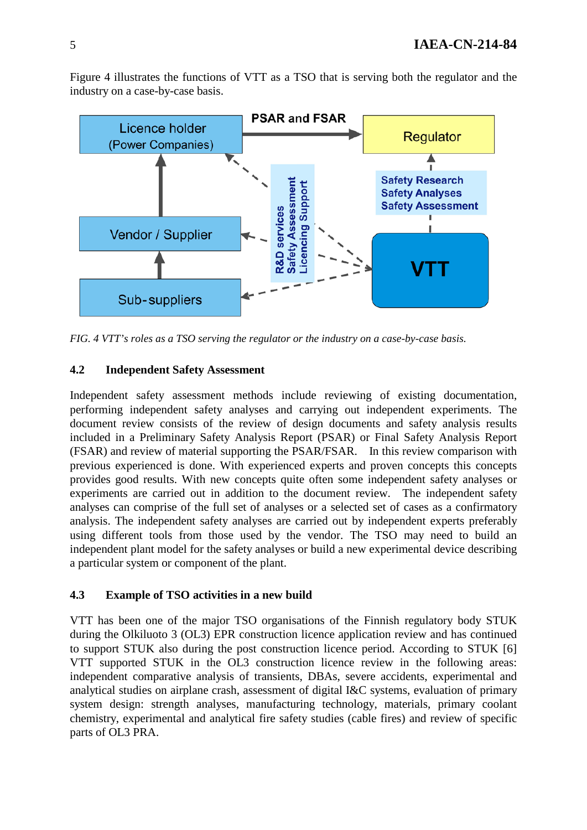Figure 4 illustrates the functions of VTT as a TSO that is serving both the regulator and the industry on a case-by-case basis.



*FIG. 4 VTT's roles as a TSO serving the regulator or the industry on a case-by-case basis.*

#### **4.2 Independent Safety Assessment**

Independent safety assessment methods include reviewing of existing documentation, performing independent safety analyses and carrying out independent experiments. The document review consists of the review of design documents and safety analysis results included in a Preliminary Safety Analysis Report (PSAR) or Final Safety Analysis Report (FSAR) and review of material supporting the PSAR/FSAR. In this review comparison with previous experienced is done. With experienced experts and proven concepts this concepts provides good results. With new concepts quite often some independent safety analyses or experiments are carried out in addition to the document review. The independent safety analyses can comprise of the full set of analyses or a selected set of cases as a confirmatory analysis. The independent safety analyses are carried out by independent experts preferably using different tools from those used by the vendor. The TSO may need to build an independent plant model for the safety analyses or build a new experimental device describing a particular system or component of the plant.

## **4.3 Example of TSO activities in a new build**

VTT has been one of the major TSO organisations of the Finnish regulatory body STUK during the Olkiluoto 3 (OL3) EPR construction licence application review and has continued to support STUK also during the post construction licence period. According to STUK [6] VTT supported STUK in the OL3 construction licence review in the following areas: independent comparative analysis of transients, DBAs, severe accidents, experimental and analytical studies on airplane crash, assessment of digital I&C systems, evaluation of primary system design: strength analyses, manufacturing technology, materials, primary coolant chemistry, experimental and analytical fire safety studies (cable fires) and review of specific parts of OL3 PRA.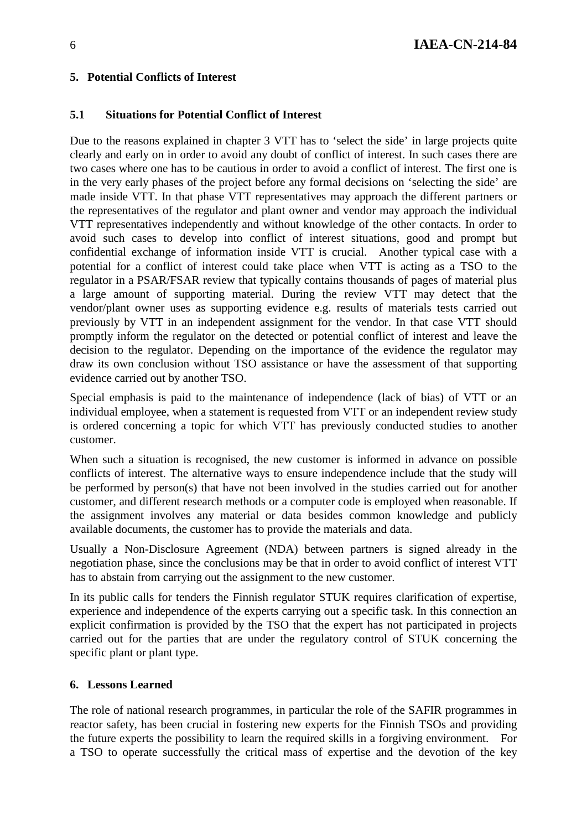## **5. Potential Conflicts of Interest**

### **5.1 Situations for Potential Conflict of Interest**

Due to the reasons explained in chapter 3 VTT has to 'select the side' in large projects quite clearly and early on in order to avoid any doubt of conflict of interest. In such cases there are two cases where one has to be cautious in order to avoid a conflict of interest. The first one is in the very early phases of the project before any formal decisions on 'selecting the side' are made inside VTT. In that phase VTT representatives may approach the different partners or the representatives of the regulator and plant owner and vendor may approach the individual VTT representatives independently and without knowledge of the other contacts. In order to avoid such cases to develop into conflict of interest situations, good and prompt but confidential exchange of information inside VTT is crucial. Another typical case with a potential for a conflict of interest could take place when VTT is acting as a TSO to the regulator in a PSAR/FSAR review that typically contains thousands of pages of material plus a large amount of supporting material. During the review VTT may detect that the vendor/plant owner uses as supporting evidence e.g. results of materials tests carried out previously by VTT in an independent assignment for the vendor. In that case VTT should promptly inform the regulator on the detected or potential conflict of interest and leave the decision to the regulator. Depending on the importance of the evidence the regulator may draw its own conclusion without TSO assistance or have the assessment of that supporting evidence carried out by another TSO.

Special emphasis is paid to the maintenance of independence (lack of bias) of VTT or an individual employee, when a statement is requested from VTT or an independent review study is ordered concerning a topic for which VTT has previously conducted studies to another customer.

When such a situation is recognised, the new customer is informed in advance on possible conflicts of interest. The alternative ways to ensure independence include that the study will be performed by person(s) that have not been involved in the studies carried out for another customer, and different research methods or a computer code is employed when reasonable. If the assignment involves any material or data besides common knowledge and publicly available documents, the customer has to provide the materials and data.

Usually a Non-Disclosure Agreement (NDA) between partners is signed already in the negotiation phase, since the conclusions may be that in order to avoid conflict of interest VTT has to abstain from carrying out the assignment to the new customer.

In its public calls for tenders the Finnish regulator STUK requires clarification of expertise, experience and independence of the experts carrying out a specific task. In this connection an explicit confirmation is provided by the TSO that the expert has not participated in projects carried out for the parties that are under the regulatory control of STUK concerning the specific plant or plant type.

#### **6. Lessons Learned**

The role of national research programmes, in particular the role of the SAFIR programmes in reactor safety, has been crucial in fostering new experts for the Finnish TSOs and providing the future experts the possibility to learn the required skills in a forgiving environment. For a TSO to operate successfully the critical mass of expertise and the devotion of the key